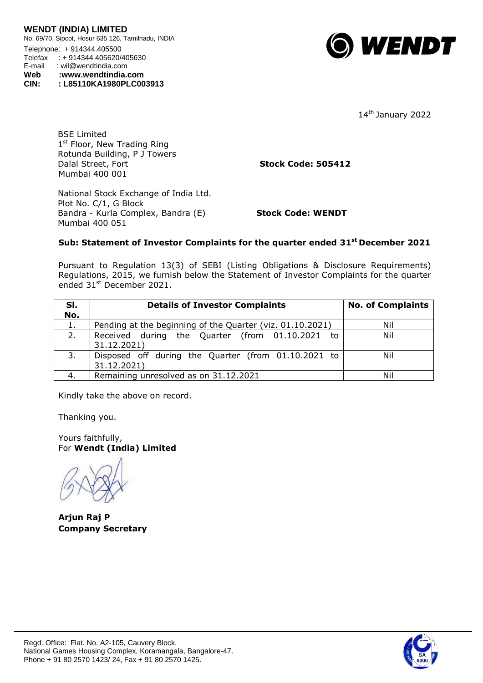

14<sup>th</sup> January 2022

BSE Limited 1<sup>st</sup> Floor, New Trading Ring Rotunda Building, P J Towers Dalal Street, Fort **Stock Code: 505412** Mumbai 400 001

National Stock Exchange of India Ltd. Plot No. C/1, G Block Bandra - Kurla Complex, Bandra (E) **Stock Code: WENDT** Mumbai 400 051

## **Sub: Statement of Investor Complaints for the quarter ended 31 st December 2021**

Pursuant to Regulation 13(3) of SEBI (Listing Obligations & Disclosure Requirements) Regulations, 2015, we furnish below the Statement of Investor Complaints for the quarter ended 31st December 2021.

| SI.<br>No. | <b>Details of Investor Complaints</b>                              | <b>No. of Complaints</b> |
|------------|--------------------------------------------------------------------|--------------------------|
| 1.         | Pending at the beginning of the Quarter (viz. 01.10.2021)          | Nil                      |
| 2.         | Received during the Quarter (from 01.10.2021 to<br>31.12.2021)     | Nil                      |
| 3.         | Disposed off during the Quarter (from 01.10.2021 to<br>31.12.2021) | Nil                      |
| 4.         | Remaining unresolved as on 31.12.2021                              | Nil                      |

Kindly take the above on record.

Thanking you.

Yours faithfully, For **Wendt (India) Limited**

**Arjun Raj P Company Secretary**